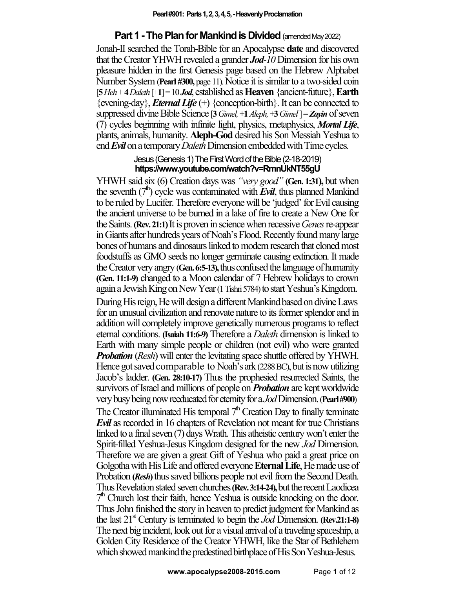## **Part 1 - The Plan for Mankind is Divided** (amended May 2022)

Jonah-II searched the Torah-Bible for an Apocalypse **date** and discovered that the Creator YHWH revealed a grander *Jod-10* Dimension for his own pleasure hidden in the first Genesis page based on the Hebrew Alphabet Number System (Pearl #300, page 11). Notice it is similar to a two-sided coin [**5***Heh* + **4***Daleth*[+**1**] =10 *Jod*, established as**Heaven**{ancient-future},**Earth**  ${evening-day}$ , *Eternal Life*  $(+)$   ${conception-birth}$ . It can be connected to suppressed divine Bible Science [**3***Gimel,*+**1***Aleph,*+**3***Gimel* ]=*Zayin* of seven (7) cycles beginning with infinite light, physics, metaphysics, *Mortal Life*, plants, animals, humanity. **Aleph-God** desired his Son Messiah Yeshua to end **Evil** on a temporary *Daleth* Dimension embedded with Time cycles.

## Jesus (Genesis 1) The First Word of the Bible (2-18-2019) **https://www.youtube.com/watch?v=RmnUkNT55gU**

YHWH said six (6) Creation days was *"very good"* **(Gen. 1:31),** but when the seventh  $(7<sup>n</sup>)$  cycle was contaminated with **Evil**, thus planned Mankind to be ruled by Lucifer. Therefore everyonewill be 'judged'for Evil causing the ancient universe to be burned in a lake of fire to create a New One for theSaints.**(Rev.21:1)**It is proven in science when recessive*Genes*re-appear in Giants after hundreds years of Noah's Flood. Recently found many large bones of humans and dinosaurs linked to modern research that cloned most foodstuffs as GMO seeds no longer germinate causing extinction. It made the Creator very angry (**Gen. 6:5-13),**thusconfused the language of humanity **(Gen. 11:1-9)** changed to a Moon calendar of 7 Hebrew holidays to crown again a Jewish King on New Year (1 Tishri 5784) to start Yeshua's Kingdom. During His reign, He will design a different Mankind based on divine Laws for an unusual civilization and renovate nature to its former splendor and in addition will completely improve genetically numerous programs to reflect eternal conditions. **(Isaiah 11:6-9)** Therefore a *Daleth* dimension is linked to Earth with many simple people or children (not evil) who were granted *Probation* (*Resh*) will enter the levitating space shuttle offered by YHWH. Hence got saved comparable to Noah's ark (2288 BC), but is now utilizing Jacob's ladder. **(Gen. 28:10-17)** Thus the prophesied resurrected Saints, the survivors of Israel and millions of people on *Probation* are kept worldwide very busy beingnow reeducated for eternity for a *Jod*Dimension.(**Pearl #900**) The Creator illuminated His temporal  $7<sup>th</sup>$  Creation Day to finally terminate *Evil* as recorded in 16 chapters of Revelation not meant for true Christians linked to a final seven (7) days Wrath. This atheistic century won't enter the Spirit-filled Yeshua-Jesus Kingdom designed for the new *Jod* Dimension. Therefore we are given a great Gift of Yeshua who paid a great price on Golgotha with His Life and offered everyone **EternalLife**, He made use of Probation (*Resh*) thus saved billions people not evil from the Second Death. Thus Revelation stated seven churches **(Rev. 3:14-24)**, but the recent Laodicea  $7<sup>th</sup>$  Church lost their faith, hence Yeshua is outside knocking on the door. Thus John finished the story in heaven to predict judgment for Mankind as the last  $21^{\text{st}}$  Century is terminated to begin the *Jod* Dimension. **(Rev.21:1-8)** The next big incident, look out for a visual arrival of a traveling spaceship, a Golden City Residence of the Creator YHWH, like the Star of Bethlehem which showed mankind the predestined birthplace of His Son Yeshua-Jesus.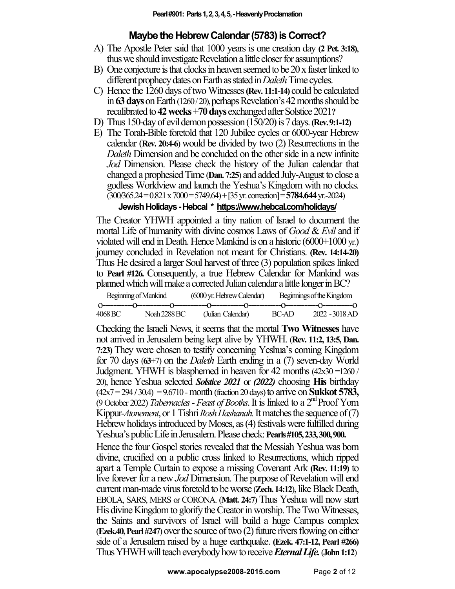# **Maybe the Hebrew Calendar (5783) is Correct?**

- A) The Apostle Peter said that 1000 years is one creation day **(2 Pet. 3:18)**, thus we should investigate Revelation a little closer for assumptions?
- B) One conjecture is that clocks in heaven seemed to be 20 x faster linked to different prophecy dates on Earth as stated in *Daleth* Time cycles.
- C) Hence the 1260 daysof twoWitnesses **(Rev. 11:1-14)** could be calculated in**63 days**on Earth (1260 / 20), perhaps Revelation's42 months should be recalibrated to **42 weeks** +70 days exchanged after Solstice 2021?
- D) Thus150-day of evil demon possession (150/20) is 7 days. **(Rev.9:1-12)**
- E) The Torah-Bible foretold that 120 Jubilee cycles or 6000-year Hebrew calendar (**Rev. 20:4-6**) would be divided by two (2) Resurrections in the *Daleth* Dimension and be concluded on the other side in a new infinite *Jod* Dimension. Please check the history of the Julian calendar that changed a prophesied Time (**Dan.7:25**) and added July-August to close a godless Worldview and launch the Yeshua's Kingdom with no clocks. (300**/**365.24 = 0.821 x 7000 = 5749.64) + [35 yr. correction] = **5784.644**yr.-2024)

# **Jewish Holidays -Hebcal \* https://www.hebcal.com/holidays/**

The Creator YHWH appointed a tiny nation of Israel to document the mortal Life of humanity with divine cosmos Laws of *Good* & *Evil* and if violated will end in Death. Hence Mankind is on a historic (6000+1000 yr.) journey concluded in Revelation not meant for Christians. **(Rev. 14:14-20)** Thus He desired a larger Soul harvest of three (3) population spikeslinked to **Pearl #126.** Consequently, a true Hebrew Calendar for Mankind was planned which will make a corrected Julian calendar a little longer in BC?

| Beginning of Mankind |              | (6000 yr. Hebrew Calendar) |  | Beginnings of the Kingdom |                |  |
|----------------------|--------------|----------------------------|--|---------------------------|----------------|--|
|                      |              |                            |  |                           |                |  |
| 4068 BC -            | Noah 2288 BC | (Julian Calendar)          |  | BC-AD                     | 2022 - 3018 AD |  |

Checking the Israeli News, it seems that the mortal **Two Witnesses** have not arrived in Jerusalem being kept alive by YHWH. (**Rev. 11:2, 13:5, Dan. 7:23)** They were chosen to testify concerning Yeshua's coming Kingdom for 70 days (**63**+7) on the *Daleth* Earth ending in a (7) seven-day World Judgment. YHWH is blasphemed in heaven for 42 months (42x30 =1260 / 20), hence Yeshua selected *Solstice 2021* or *(2022)* choosing **His** birthday (42x7=294 **/** 30.4) = 9.6710 -month (fraction 20 days) to arrive on **Sukkot 5783,** (9 October 2022) Tabernacles - Feast of Booths. It is linked to a 2<sup>nd</sup> Proof Yom Kippur-*Atonement*, or 1 Tishri *Rosh Hashanah*. It matches the sequence of (7) Hebrew holidays introduced by Moses, as(4) festivalswere fulfilled during Yeshua's public Life in Jerusalem.Pleasecheck: **Pearls #105, 233, 300, 900.**

Hence the four Gospel stories revealed that the Messiah Yeshua was born divine, crucified on a public cross linked to Resurrections, which ripped apart a Temple Curtain to expose a missing Covenant Ark **(Rev. 11:19)** to live forever for a new *Jod* Dimension.The purpose of Revelation will end current man-made virus foretold to be worse (**Zech. 14:12**), like Black Death, EBOLA, SARS, MERS or CORONA. (**Matt. 24:7**) Thus Yeshua will now start His divine Kingdom to glorify the Creator in worship. The Two Witnesses, the Saints and survivors of Israel will build a huge Campus complex  $(Ezek.40, Pearl #247)$  over the source of two  $(2)$  future rivers flowing on either side of a Jerusalem raised by a huge earthquake. **(Ezek. 47:1-12, Pearl #266)** Thus YHWH will teach everybody how to receive *Eternal Life*. (John 1:12)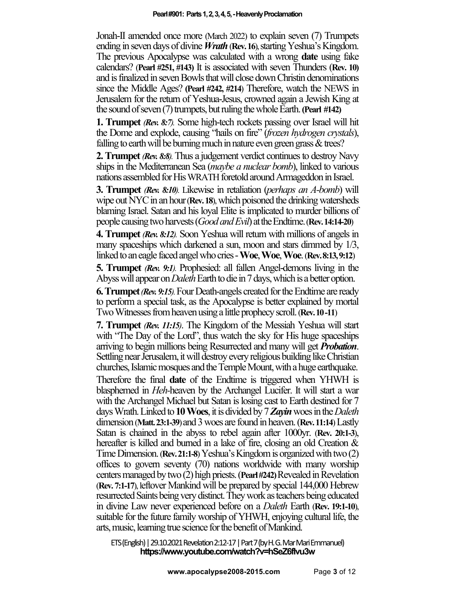Jonah-II amended once more (March 2022) to explain seven (7) Trumpets ending in seven days of divine *Wrath*(**Rev.16**), starting Yeshua's Kingdom. The previous Apocalypse was calculated with a wrong **date** using fake calendars? (**Pearl #251, #143)** It is associated with seven Thunders (**Rev. 10)** and is finalized in seven Bowls that will close down Christin denominations since the Middle Ages? **(Pearl #242, #214**) Therefore, watch the NEWS in Jerusalem for the return of Yeshua-Jesus, crowned again a Jewish King at the sound of seven (7) trumpets, butruling the whole Earth.**(Pearl #142)**

**1. Trumpet** *(Rev. 8:7).* Some high-tech rockets passing over Israel will hit the Dome and explode, causing "hails on fire" (*frozen hydrogen crystals*), falling to earth will be burning much in nature even green grass & trees?

**2. Trumpet** *(Rev. 8:8)*. Thus a judgement verdict continues to destroy Navy ships in the Mediterranean Sea (*maybe a nuclear bomb*), linked to various nations assembled for His WRATH foretold around Armageddon in Israel.

**3. Trumpet** *(Rev. 8:10).* Likewise in retaliation (*perhaps an A-bomb*) will wipe out NYC in an hour (**Rev. 18**), which poisoned the drinking watersheds blaming Israel. Satan and his loyal Elite is implicated to murder billions of people causing twoharvests (*Good andEvil*) attheEndtime.(**Rev.14:14-20**)

**4. Trumpet** *(Rev. 8:12).* Soon Yeshua will return with millions of angels in many spaceships which darkened a sun, moon and stars dimmed by 1/3, linked to an eagle faced angel whocries-**Woe**, **Woe**, **Woe**.(**Rev. 8:13, 9:12**)

**5. Trumpet** *(Rev. 9:1).* Prophesied: all fallen Angel-demons living in the Abyss will appear on *Daleth* Earth to die in 7 days, which is a better option.

**6.Trumpet***(Rev.9:15).*Four Death-angels created for the Endtime are ready to perform a special task, as the Apocalypse is better explained by mortal Two Witnesses from heaven usinga little prophecy scroll.(**Rev.10 -11**)

**7. Trumpet** *(Rev. 11:15)*. The Kingdom of the Messiah Yeshua will start with "The Day of the Lord", thus watch the sky for His huge spaceships arriving to begin millions being Resurrected and many will get *Probation*. Settling near Jerusalem, it will destroy every religious building like Christian churches, Islamic mosques and the Temple Mount, with a huge earthquake.

Therefore the final **date** of the Endtime is triggered when YHWH is blasphemed in *Heh-*heaven by the Archangel Lucifer. It will start a war with the Archangel Michael but Satan is losing cast to Earth destined for 7 days Wrath. Linked to **10Woes**, it is divided by7*Zayin*woes in the*Daleth* dimension (**Matt.23:1-39**) and3woes are found in heaven.(**Rev.11:14**)Lastly Satan is chained in the abyss to rebel again after 1000yr. (**Rev. 20:1-3**), hereafter is killed and burned in a lake of fire, closing an old Creation  $\&$ Time Dimension. (**Rev. 21:1-8**) Yeshua's Kingdom is organized with two (2) offices to govern seventy (70) nations worldwide with many worship centers managed by two (2) high priests.(**Pearl #242)** Revealed in Revelation (**Rev. 7:1-17**), leftover Mankind will be prepared by special 144,000 Hebrew resurrected Saints being very distinct.Theywork as teachers being educated in divine Law never experienced before on a *Daleth* Earth (**Rev. 19:1-10**), suitable for the future family worship of YHWH, enjoying cultural life, the arts, music, learning true science for the benefit of Mankind.

ETS (English) | 29.10.2021 Revelation 2:12-17 | Part 7 (by H. G. Mar Mari Emmanuel) **https://www.youtube.com/watch?v=hSeZ6fIvu3w**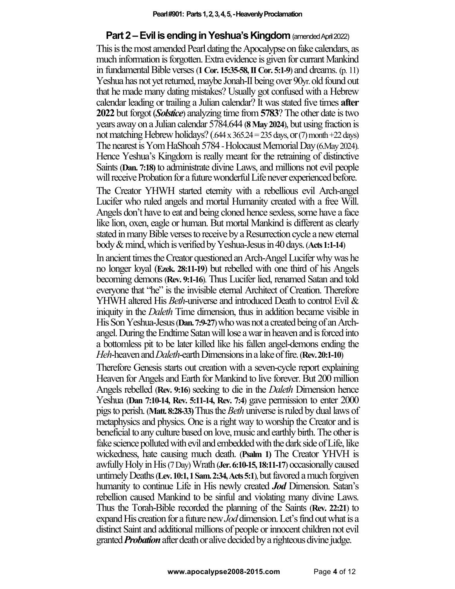## **Part 2 –Evil is ending in Yeshua's Kingdom** (amended April2022)

This is the most amended Pearl dating the Apocalypse on fake calendars, as much information is forgotten. Extra evidence is given for currant Mankind in fundamentalBible verses (**1 Cor. 15:35-58, II Cor. 5:1-9**) and dreams. (p. 11) Yeshua has not yet returned, maybe Jonah-II being over 90yr. old found out that he made many dating mistakes? Usually got confused with a Hebrew calendar leading or trailing a Julian calendar? It was stated five times **after 2022** but forgot (*Solstice*) analyzing time from **5783**? The other date is two years away on a Julian calendar 5784.644 (**8 May 2024**), but using fraction is not matching Hebrew holidays? (.644 x 365.24 = 235 days, or (7) month +22 days) The nearest is Yom HaShoah 5784 - Holocaust Memorial Day (6.May 2024). Hence Yeshua's Kingdom is really meant for the retraining of distinctive Saints(**Dan. 7:18)** to administrate divine Laws, and millions not evil people will receive Probation for a future wonderful Life never experienced before.

The Creator YHWH started eternity with a rebellious evil Arch-angel Lucifer who ruled angels and mortal Humanity created with a free Will. Angels don't have to eat and being cloned hence sexless, some have a face like lion, oxen, eagle or human. But mortal Mankind is different as clearly stated inmany Bible verses to receive by a Resurrection cycle a new eternal body & mind,whichis verifiedby Yeshua-Jesus in 40 days.(**Acts 1:1-14**)

In ancient times the Creator questioned an Arch-Angel Lucifer why was he no longer loyal (**Ezek. 28:11-19**) but rebelled with one third of his Angels becoming demons (**Rev. 9:1-16**). Thus Lucifer lied, renamed Satan and told everyone that "he" is the invisible eternal Architect of Creation. Therefore YHWH altered His *Beth*-universe and introduced Death to control Evil & iniquity in the *Daleth* Time dimension, thus in addition became visible in His Son Yeshua-Jesus (**Dan.7:9-27**) who was not a created being of an Archangel. During the Endtime Satan will lose a war in heaven and is forced into a bottomless pit to be later killed like his fallen angel-demons ending the *Heh*-heaven and*Daleth*-earth Dimensionsin a lake of fire. (**Rev. 20:1-10**)

Therefore Genesis starts out creation with a seven-cycle report explaining Heaven for Angels and Earth for Mankind to live forever. But 200 million Angels rebelled (**Rev. 9:16**) seeking to die in the *Daleth* Dimension hence Yeshua (**Dan 7:10-14, Rev. 5:11-14, Rev. 7:4**) gave permission to enter 2000 pigs to perish. (**Matt. 8:28-33)** Thus the *Beth* universe is ruled by dual laws of metaphysics and physics. One is a right way to worship the Creator and is beneficial to any culture based on love, music and earthly birth. The other is fake science polluted with evil and embedded with the dark side of Life, like wickedness, hate causing much death. (**Psalm 1)** The Creator YHVH is awfully Holy in His (7 Day) Wrath (**Jer. 6:10-15, 18:11-17**) occasionally caused untimely Deaths (Lev. 10:1, 1 Sam. 2:34, Acts 5:1), but favored a much forgiven humanity to continue Life in His newly created *Jod* Dimension. Satan's rebellion caused Mankind to be sinful and violating many divine Laws. Thus the Torah-Bible recorded the planning of the Saints (**Rev. 22:21**) to expand His creation for a future new *Jod* dimension. Let's find out what is a distinct Saint and additional millions of people or innocent children not evil granted **Probation** after death or alive decided by a righteous divine judge.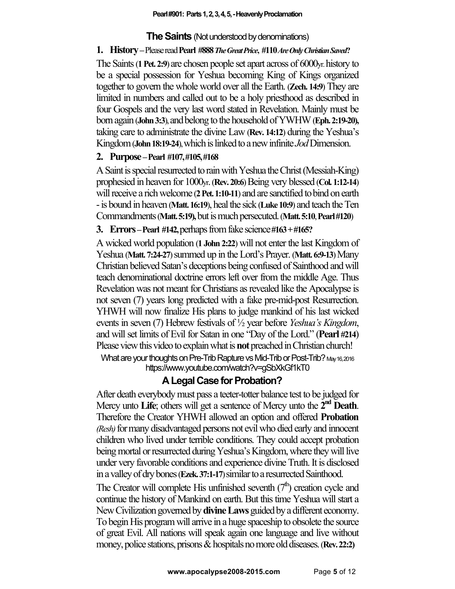## **The Saints** (Not understood by denominations)

## **1. History–**Please read**Pearl #888***The Great Price***, #110***AreOnly Christian Saved***?**

The Saints (**1Pet. 2:9**) are chosen people set apart across of 6000yr. history to be a special possession for Yeshua becoming King of Kings organized together to govern the whole world over all the Earth. (**Zech. 14:9**) They are limited in numbers and called out to be a holy priesthood as described in four Gospels and the very last word stated in Revelation. Mainly must be born again (**John 3:3**), and belong to the household of YWHW (**Eph. 2:19-20**), taking care to administrate the divine Law (**Rev. 14:12**) during the Yeshua's Kingdom (**John 18:19-24**),which is linked toa new infinite *Jod*Dimension.

# **2. Purpose –Pearl #107, #105, #168**

A Saint is special resurrected to rain with Yeshua the Christ (Messiah-King) prophesied in heaven for 1000<sub>yr</sub>. (**Rev. 20:6**) Being very blessed (**Col. 1:12-14**) will receive a rich welcome (2 Pet. 1:10-11) and are sanctified to bind on earth -is bound in heaven (**Matt.16:19**), heal the sick (**Luke 10:9**) and teach the Ten Commandments (**Matt. 5:19),**but is much persecuted. (**Matt.5:10**,**Pearl #120**)

# **3. Errors –Pearl #142,** perhaps from fake science**#163 + #165?**

A wicked world population (**1 John 2:22**) will not enter the last Kingdom of Yeshua (Matt. **7:24-27**) summed up in the Lord's Prayer. (Matt. 6:9-13) Many Christian believed Satan's deceptions being confused of Sainthood and will teach denominational doctrine errors left over from the middle Age. Thus Revelation was not meant for Christians as revealed like the Apocalypse is not seven (7) years long predicted with a fake pre-mid-post Resurrection. YHWH will now finalize His plans to judge mankind of his last wicked events in seven (7) Hebrew festivals of  $\frac{1}{2}$  year before *Yeshua's Kingdom*, and will set limits of Evil for Satan in one "Day of the Lord." (**Pearl #214**) Please view this video to explain what is **not** preached in Christian church! What are your thoughts on Pre-Trib Rapture vs Mid-Trib or Post-Trib? May 16, 2016

https://www.youtube.com/watch?v=gSbXkGf1kT0

# **A Legal Case for Probation?**

After death everybody must pass a teeter-totter balance test to be judged for Mercy unto Life; others will get a sentence of Mercy unto the  $\mathbf{\hat{z}}^{\text{nd}}$  Death. Therefore the Creator YHWH allowed an option and offered **Probation** *(Resh)* for many disadvantaged persons not evil who died early and innocent children who lived under terrible conditions. They could accept probation being mortal or resurrected during Yeshua's Kingdom, where they will live under very favorable conditions and experience divine Truth. It is disclosed ina valley of dry bones (**Ezek.37:1-17**) similar to a resurrected Sainthood.

The Creator will complete His unfinished seventh  $(7<sup>th</sup>)$  creation cycle and continue the history of Mankind on earth. But this time Yeshua will start a New Civilization governed by **divine Laws**guided by a different economy. To begin His program will arrive in a huge spaceship to obsolete the source of great Evil. All nations will speak again one language and live without money, police stations, prisons & hospitals no more old diseases. (**Rev. 22:2**)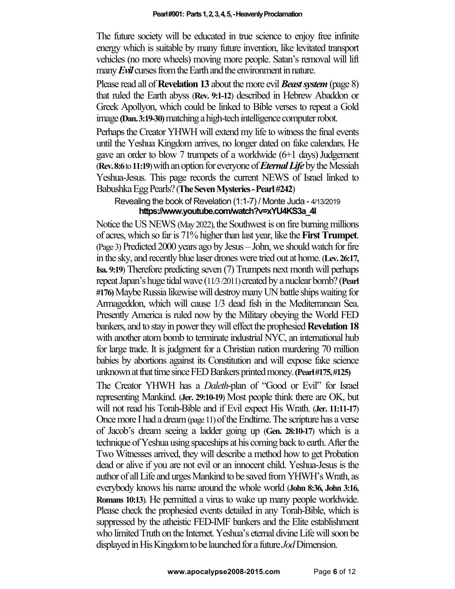The future society will be educated in true science to enjoy free infinite energy which is suitable by many future invention, like levitated transport vehicles (no more wheels) moving more people. Satan's removal will lift many **Evil** curses from the Earth and the environment in nature.

Please read all of **Revelation 13** about the more evil *Beast system*(page 8) that ruled the Earth abyss (**Rev. 9:1-12**) described in Hebrew Abaddon or Greek Apollyon, which could be linked to Bible verses to repeat a Gold image **(Dan. 3:19-30)**matching ahigh-techintelligence computer robot.

Perhaps the Creator YHWH will extend my life to witness the final events until the Yeshua Kingdom arrives, no longer dated on fake calendars. He gave an order to blow 7 trumpets of a worldwide  $(6+1)$  days) Judgement **(Rev. 8:6** to 11:19) with an option for everyone of *Eternal Life* by the Messiah Yeshua-Jesus. This page records the current NEWS of Israel linked to Babushka Egg Pearls?(**The Seven Mysteries -Pearl #242**)

## Revealing the book of Revelation (1:1-7) / Monte Juda - 4/13/2019 **https://www.youtube.com/watch?v=xYU4KS3a\_4I**

Notice the US NEWS (May 2022), the Southwest is on fire burning millions of acres, which so far is 71% higher than last year, like the **FirstTrumpet**. (Page 3) Predicted 2000 years ago by Jesus – John, we should watch for fire in the sky, and recently blue laser droneswere tried out at home. (**Lev. 26:17, Isa. 9:19**) Therefore predicting seven (7) Trumpets next month will perhaps repeat Japan's huge tidal wave (11/3 /2011) created by a nuclear bomb? (**Pearl #176)**MaybeRussia likewise will destroymanyUN battle shipswaiting for Armageddon, which will cause 1/3 dead fish in the Mediterranean Sea. Presently America is ruled now by the Military obeying the World FED bankers, and to stay in power they will effect the prophesied**Revelation 18** with another atom bomb to terminate industrial NYC, an international hub for large trade. It is judgment for a Christian nation murdering 70 million babies by abortions against its Constitution and will expose fake science unknown at that time since FED Bankers printedmoney.**(Pearl #175, #125)**

The Creator YHWH has a *Daleth*-plan of "Good or Evil" for Israel representing Mankind. (**Jer. 29:10-19**) Most people think there are OK, but will not read his Torah-Bible and if Evil expect His Wrath. (**Jer. 11:11-17**) Once more I had a dream (page 11) of the Endtime. The scripture has a verse of Jacob's dream seeing a ladder going up (**Gen. 28:10-17**) which is a technique of Yeshua using spaceships at his coming back to earth. After the Two Witnesses arrived, they will describe a method how to get Probation dead or alive if you are not evil or an innocent child. Yeshua-Jesus is the author of all Life and urges Mankind to be saved from YHWH's Wrath, as everybody knows his name around the whole world (**John 8:36, John 3:16, Romans 10:13**). He permitted a virus to wake up many people worldwide. Please check the prophesied events detailed in any Torah-Bible, which is suppressed by the atheistic FED-IMF bankers and the Elite establishment who limited Truth on the Internet. Yeshua's eternal divine Life will soon be displayed in His Kingdom to be launched for a future *Jod* Dimension.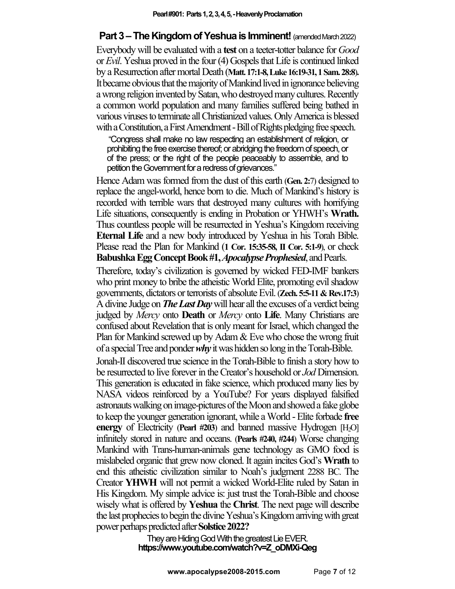# **Part 3 – The Kingdom of Yeshua is Imminent!** (amended March 2022)

Everybody will be evaluated with a **test** on a teeter-totter balance for *Good*  or *Evil*. Yeshua proved in the four (4) Gospels that Life is continued linked by a Resurrection after mortal Death (**Matt. 17:1-8, Luke 16:19-31, 1 Sam. 28:8**)**.**  Itbecame obvious that the majority of Mankind lived in ignorance believing a wrong religion invented by Satan, who destroyed many cultures. Recently a common world population and many families suffered being bathed in various viruses to terminate all Christianized values. Only America is blessed with a Constitution, a First Amendment -Bill of Rights pledging free speech.

"Congress shall make no law respecting an establishment of religion, or prohibiting the free exercise thereof; or abridging the freedom of speech, or of the press; or the right of the people peaceably to assemble, and to petition the Government for a redress of grievances."

Hence Adam was formed from the dust of this earth (**Gen. 2:**7) designed to replace the angel-world, hence born to die. Much of Mankind's history is recorded with terrible wars that destroyed many cultures with horrifying Life situations, consequently is ending in Probation or YHWH's **Wrath.**  Thus countless people will be resurrected in Yeshua's Kingdom receiving **Eternal Life** and a new body introduced by Yeshua in his Torah Bible. Please read the Plan for Mankind (**1 Cor. 15:35-58, II Cor. 5:1-9**), or check **Babushka Egg Concept Book #1,** *Apocalypse Prophesied*, and Pearls.

Therefore, today's civilization is governed by wicked FED-IMF bankers who print money to bribe the atheistic World Elite, promoting evil shadow governments, dictators or terrorists of absolute Evil.(**Zech. 5:5-11& Rev.17:3**) A divine Judge on *The Last Day*will hear all the excuses of a verdict being judged by *Mercy* onto **Death** or *Mercy* onto **Life**. Many Christians are confused about Revelation that is only meant for Israel, which changed the Plan for Mankind screwed up by Adam & Eve who chose the wrong fruit of a special Tree and ponder *why*it was hidden so long in the Torah-Bible.

Jonah-II discovered true science in the Torah-Bible to finish a story how to be resurrected to live forever in the Creator's household or *Jod* Dimension. This generation is educated in fake science, which produced many lies by NASA videos reinforced by a YouTube? For years displayed falsified astronauts walking on image-pictures of the Moon and showed a fake globe to keep the younger generation ignorant, while a World -Elite forbade **free energy** of Electricity (**Pearl #203**) and banned massive Hydrogen [H<sub>2</sub>O] infinitely stored in nature and oceans. (**Pearls #240, #244**) Worse changing Mankind with Trans-human-animals gene technology as GMO food is mislabeled organic that grew now cloned. It again incites God's **Wrath** to end this atheistic civilization similar to Noah's judgment 2288 BC. The Creator **YHWH** will not permit a wicked World-Elite ruled by Satan in His Kingdom. My simple advice is: just trust the Torah-Bible and choose wisely what is offered by **Yeshua** the **Christ**. The next page will describe the last prophecies to begin the divine Yeshua's Kingdom arriving with great power perhaps predicted after **Solstice 2022?**

> They are Hiding God With the greatest Lie EVER. **https://www.youtube.com/watch?v=Z\_oDMXi-Qeg**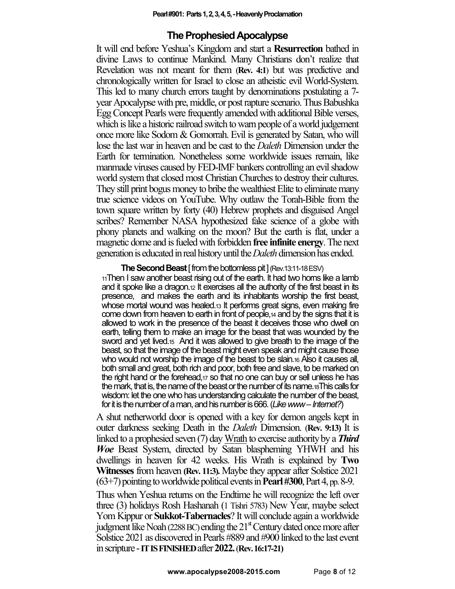## **The Prophesied Apocalypse**

It will end before Yeshua's Kingdom and start a **Resurrection** bathed in divine Laws to continue Mankind. Many Christians don't realize that Revelation was not meant for them (**Rev. 4:1**) but was predictive and chronologically written for Israel to close an atheistic evil World-System. This led to many church errors taught by denominations postulating a 7 year Apocalypse with pre, middle, or post rapture scenario. Thus Babushka Egg Concept Pearls were frequently amended with additional Bible verses, which is like a historic railroad switch to warn people of a world judgement once more like Sodom & Gomorrah. Evil is generated by Satan, who will lose the last war in heaven and be cast to the *Daleth* Dimension under the Earth for termination. Nonetheless some worldwide issues remain, like manmade viruses caused by FED-IMF bankers controlling an evil shadow world system that closed most Christian Churches to destroy their cultures. They still print bogus money to bribe the wealthiest Elite to eliminate many true science videos on YouTube. Why outlaw the Torah-Bible from the town square written by forty (40) Hebrew prophets and disguised Angel scribes? Remember NASA hypothesized fake science of a globe with phony planets and walking on the moon? But the earth is flat, under a magnetic dome and is fueled with forbidden **free infinite energy**. The next generation is educated in real history until the *Daleth*dimension hasended.

**The Second Beast [from the bottomless pit ] (Rev.13:11-18 ESV)** 

11Then I saw another beast rising out of the earth. It had two horns like a lamb and it spoke like a dragon.12 It exercises all the authority of the first beast in its presence, and makes the earth and its inhabitants worship the first beast, whose mortal wound was healed.<sup>13</sup> It performs great signs, even making fire come down from heaven to earth in front of people,14 and by the signs that it is allowed to work in the presence of the beast it deceives those who dwell on earth, telling them to make an image for the beast that was wounded by the sword and yet lived.15 And it was allowed to give breath to the image of the beast, so that the image of the beast might even speak and might cause those who would not worship the image of the beast to be slain 16 Also it causes all, both small and great, both rich and poor, both free and slave, to be marked on the right hand or the forehead,17 so that no one can buy or sell unless he has the mark, that is, the name of the beast or the number of its name.18This calls for wisdom: let the one who has understanding calculate the number of the beast, for it is the number of a man, and his number is 666. (*Like www –Internet?*)

A shut netherworld door is opened with a key for demon angels kept in outer darkness seeking Death in the *Daleth* Dimension. (**Rev. 9:13)** It is linked to a prophesied seven (7) day Wrath to exercise authority by a *Third Woe* Beast System, directed by Satan blaspheming YHWH and his dwellings in heaven for 42 weeks. His Wrath is explained by **Two Witnesses**from heaven **(Rev. 11:3).** Maybe they appear after Solstice 2021  $(63+7)$  pointing to worldwide political events in **Pearl #300**, Part 4, pp. 8-9.

Thus when Yeshua returns on the Endtime he will recognize the left over three (3) holidays Rosh Hashanah (1 Tishri 5783) New Year, maybe select Yom Kippur or **Sukkot-Tabernacles**? It will conclude again a worldwide judgment like Noah (2288 BC) ending the  $21<sup>s</sup>$  Century dated once more after Solstice 2021 as discovered in Pearls #889 and #900 linked to the last event in scripture -**IT IS FINISHED** after **2022.** (**Rev. 16:17-21)**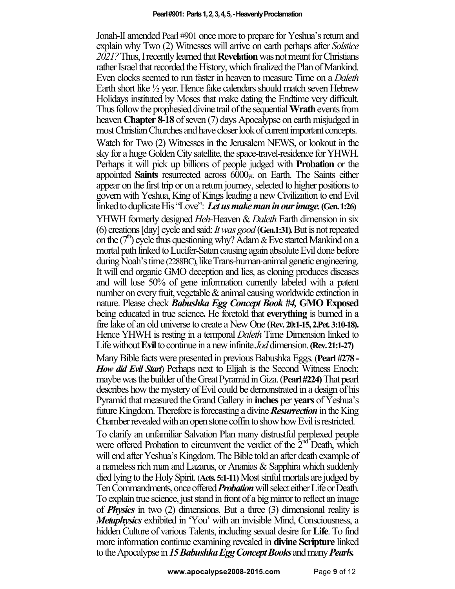Jonah-II amended Pearl #901 once more to prepare for Yeshua's return and explain why Two (2) Witnesses will arrive on earth perhaps after *Solstice 2021?*Thus,I recently learned that **Revelation**was not meant for Christians rather Israel that recorded the History, which finalized the Plan of Mankind. Even clocks seemed to run faster in heaven to measure Time on a *Daleth* Earth short like ½ year. Hence fake calendars should match seven Hebrew Holidays instituted by Moses that make dating the Endtime very difficult. Thus follow the prophesied divine trail of the sequential **Wrath**events from heaven **Chapter 8-18** of seven (7) days Apocalypse on earth misjudged in most Christian Churches and have closer look of current important concepts. Watch for Two (2) Witnesses in the Jerusalem NEWS, or lookout in the

sky for a huge Golden City satellite, the space-travel-residence for YHWH. Perhaps it will pick up billions of people judged with **Probation** or the appointed **Saints** resurrected across 6000yr. on Earth. The Saints either appear on the first trip or on a return journey, selected to higher positions to govern with Yeshua, King of Kings leading a new Civilization to end Evil linked to duplicate His "Love": *Let us make man in our image.***(Gen. 1:26)** 

YHWH formerly designed *Heh*-Heaven & *Daleth* Earth dimension in six (6) creations [day] cycle and said: *It was good* (**Gen.1:31).** But is not repeated on the  $(7<sup>n</sup>)$  cycle thus questioning why? Adam & Eve started Mankind on a mortal path linked to Lucifer-Satan causing again absolute Evil done before during Noah's time (2288BC), likeTrans-human-animal genetic engineering. It will end organic GMO deception and lies, as cloning produces diseases and will lose 50% of gene information currently labeled with a patent number on every fruit, vegetable  $\&$  animal causing worldwide extinction in nature. Please check *Babushka Egg Concept Book #4,* **GMO Exposed**  being educated in true science**.** He foretold that **everything** is burned in a fire lake of an old universe to create a New One (**Rev. 20:1-15, 2.Pet. 3:10-18).** Hence YHWH is resting in a temporal *Daleth* Time Dimension linked to Life without **Evil** to continue in a new infinite *Jod* dimension. **(Rev. 21:1-27)** 

Many Bible facts were presented in previous Babushka Eggs. (**Pearl #278 -** *How did Evil Start*) Perhaps next to Elijah is the Second Witness Enoch; maybe was the builder of the Great Pyramid in Giza. (**Pearl #224)**That pearl describes how the mystery of Evil could be demonstrated in a design of his Pyramid that measured the Grand Gallery in **inches** per **years** of Yeshua's future Kingdom. Therefore is forecasting a divine *Resurrection*in the King Chamber revealed with an open stone coffin to show how Evil is restricted.

To clarify an unfamiliar Salvation Plan many distrustful perplexed people were offered Probation to circumvent the verdict of the  $2<sup>nd</sup>$  Death, which will end after Yeshua's Kingdom. The Bible told an after death example of a nameless rich man and Lazarus, or Ananias & Sapphira which suddenly died lying to the Holy Spirit. (**Acts. 5:1-11)**Most sinful mortals are judged by Ten Commandments, once offered *Probation* will select either Life or Death. To explain true science, just stand in front of a big mirror to reflect an image of *Physics* in two (2) dimensions. But a three (3) dimensional reality is *Metaphysics* exhibited in 'You' with an invisible Mind, Consciousness, a hidden Culture of various Talents, including sexual desire for **Life**. To find more information continue examining revealed in **divine Scripture** linked to the Apocalypse in *15 Babushka Egg Concept Books* and many *Pearls.*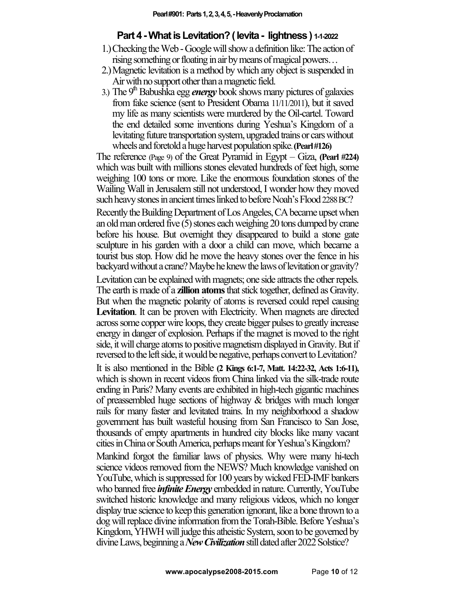# **Part 4 -What is Levitation? ( levita - lightness ) 1-1-2022**

- 1.)Checking the Web -Google will show a definition like: The action of rising something or floating in air by means of magical powers…
- 2.)Magnetic levitation is a method by which any object is suspended in Air with no support other than a magnetic field.
- 3.) The  $9<sup>m</sup>$  Babushka egg *energy* book shows many pictures of galaxies from fake science (sent to President Obama 11/11/2011), but it saved my life as many scientists were murdered by the Oil-cartel. Toward the end detailed some inventions during Yeshua's Kingdom of a levitating future transportation system,upgraded trains or cars without wheels and foretold a huge harvest population spike. **(Pearl #126)**

The reference (Page 9) of the Great Pyramid in Egypt – Giza, **(Pearl #224)** which was built with millions stones elevated hundreds of feet high, some weighing 100 tons or more. Like the enormous foundation stones of the Wailing Wall in Jerusalem still not understood, I wonder how they moved such heavy stones in ancient times linked to before Noah's Flood 2288 BC?

Recently the Building Department of Los Angeles, CA became upset when an old man ordered five (5) stones each weighing 20 tons dumped by crane before his house. But overnight they disappeared to build a stone gate sculpture in his garden with a door a child can move, which became a tourist bus stop. How did he move the heavy stones over the fence in his backyard without a crane? Maybe he knew the laws of levitation or gravity?

Levitation can be explained with magnets; one side attracts the other repels. The earth is made of a **zillion atoms**that stick together, defined as Gravity. But when the magnetic polarity of atoms is reversed could repel causing Levitation. It can be proven with Electricity. When magnets are directed across some copper wire loops, they create bigger pulses to greatly increase energy in danger of explosion. Perhaps if the magnet is moved to the right side, it will charge atoms to positive magnetism displayed in Gravity. But if reversed to the left side, it would be negative, perhaps convert to Levitation?

It is also mentioned in the Bible **(2 Kings 6:1-7, Matt. 14:22-32, Acts 1:6-11),**  which is shown in recent videos from China linked via the silk-trade route ending in Paris? Many events are exhibited in high-tech gigantic machines of preassembled huge sections of highway & bridges with much longer rails for many faster and levitated trains. In my neighborhood a shadow government has built wasteful housing from San Francisco to San Jose, thousands of empty apartments in hundred city blocks like many vacant cities in China or South America, perhaps meant for Yeshua's Kingdom?

Mankind forgot the familiar laws of physics. Why were many hi-tech science videos removed from the NEWS? Much knowledge vanished on YouTube, which is suppressed for 100 years by wicked FED-IMF bankers who banned free *infinite Energy* embedded in nature. Currently, YouTube switched historic knowledge and many religious videos, which no longer display true science to keep this generation ignorant, like a bone thrown to a dog will replace divine information from the Torah-Bible. Before Yeshua's Kingdom, YHWH will judge this atheistic System, soon to be governed by divine Laws, beginning a *New Civilization* still dated after 2022 Solstice?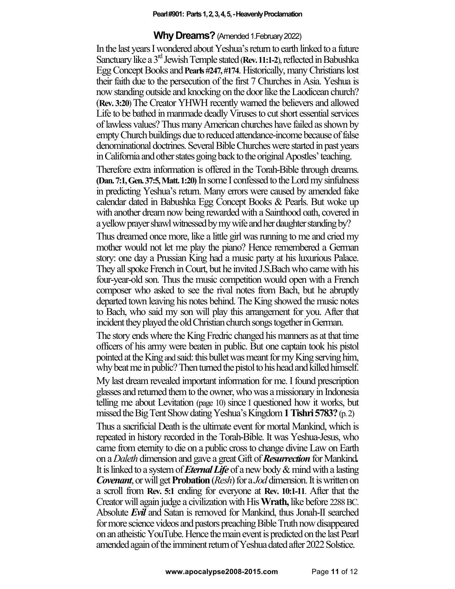#### **Pearl #901: Parts 1, 2, 3, 4, 5,-Heavenly Proclamation**

### **Why Dreams?** (Amended 1.February 2022)

In the last years I wondered about Yeshua's return to earth linked to a future Sanctuary like a 3<sup>rd</sup> Jewish Temple stated (Rev. 11:1-2), reflected in Babushka Egg Concept Books and**Pearls #247, #174**. Historically,many Christians lost their faith due to the persecution of the first 7 Churches in Asia. Yeshua is now standing outside and knocking on the door like theLaodicean church? (**Rev. 3:20**) The Creator YHWH recently warned the believers and allowed Life to be bathed in manmade deadly Viruses to cut short essential services of lawless values?Thus manyAmerican churches have failed as shown by empty Church buildings due to reduced attendance-income because of false denominational doctrines. Several Bible Churches were started in past years in California and other states going back to the original Apostles' teaching.

Therefore extra information is offered in the Torah-Bible through dreams. **(Dan. 7:1, Gen. 37:5, Matt. 1:20)**In some I confessed to the Lord my sinfulness in predicting Yeshua's return. Many errors were caused by amended fake calendar dated in Babushka Egg Concept Books & Pearls. But woke up with another dream now being rewarded with a Sainthood oath, covered in a yellow prayer shawl witnessed by my wife and her daughter standing by?

Thus dreamed once more, like a little girl was running to me and cried my mother would not let me play the piano? Hence remembered a German story: one day a Prussian King had a music party at his luxurious Palace. They all spoke French in Court, but he invited J.S.Bach who came with his four-year-old son. Thus the music competition would open with a French composer who asked to see the rival notes from Bach, but he abruptly departed town leaving his notes behind. The King showed the music notes to Bach, who said my son will play this arrangement for you. After that incident they played the old Christian church songs together in German.

The story ends where the King Fredric changed his manners as at that time officers of his army were beaten in public. But one captain took his pistol pointed at the King and said: this bullet was meant for my King serving him, why beat me in public? Then turned the pistol to his head and killed himself.

My last dream revealed important information for me. I found prescription glasses and returned them to the owner, who was a missionary in Indonesia telling me about Levitation (page 10) since I questioned how it works, but missed the Big Tent Show dating Yeshua's Kingdom **1 Tishri 5783?** (p. 2)

Thus a sacrificial Death is the ultimate event for mortal Mankind, which is repeated in history recorded in the Torah-Bible. It was Yeshua-Jesus, who came from eternity to die on a public cross to change divine Law on Earth on a *Daleth* dimension and gave a great Gift of *Resurrection* for Mankind*.*  It is linked to a system of *Eternal Life* of a new body & mind with a lasting *Covenant*, or will get **Probation** (*Resh*) for a *Jod* dimension. It is written on a scroll from **Rev. 5:1** ending for everyone at **Rev. 10:1-11**. After that the Creator will again judge a civilization with His **Wrath,** like before 2288 BC. Absolute *Evil* and Satan is removed for Mankind, thus Jonah-II searched for more science videos and pastors preaching Bible Truth now disappeared on an atheistic YouTube. Hence the main event is predicted on the last Pearl amended again of the imminent return of Yeshua dated after 2022 Solstice.